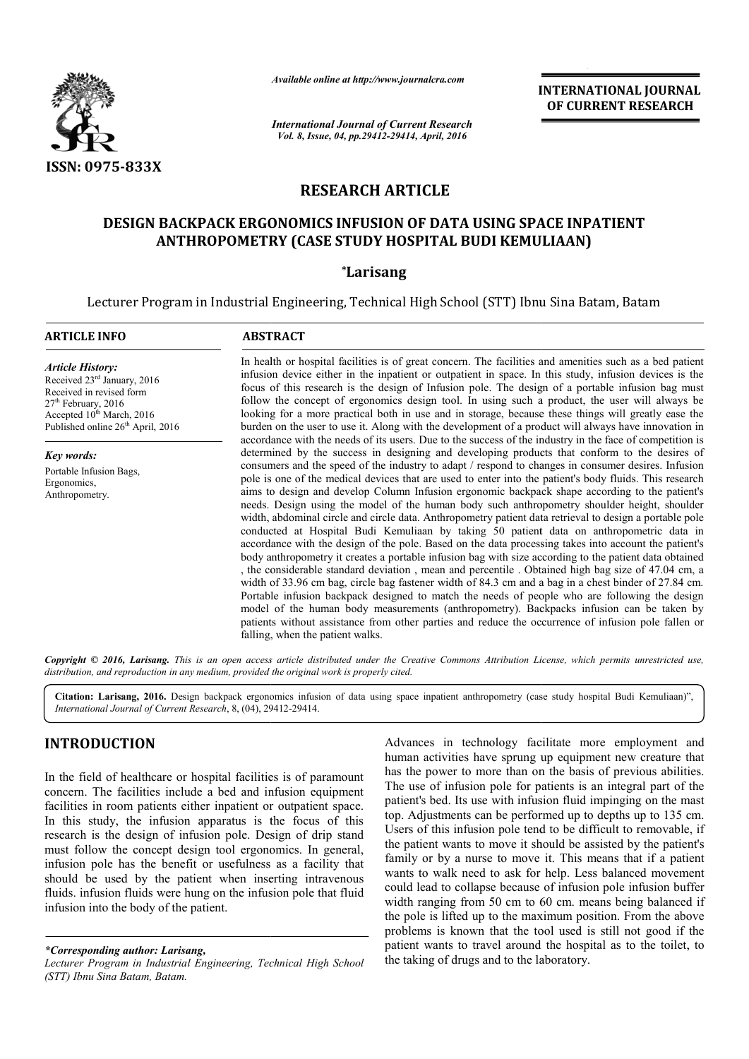

*Available online at http://www.journalcra.com*

# **RESEARCH ARTICLE**

## **DESIGN BACKPACK ERGONOMICS INFUSION OF DATA USING SPACE INPATIENT OF DATA INPATIENT ANTHROPOMETRY (CASE STUDY HOSPITAL BUDI KEMULIAAN)**

## **\*Larisang**

|                                                                                                                                                                                                                                                                                                                                                                                                                                                                                                                                                                                                                                                                                      | лтините опине игнир.//www.journaicra.com                                                                                                                                                                                                                                                                                                                                                                                                                                                                                                                                                                                                                                                                                                             |  | <b>INTERNATIONAL JOURNAL</b><br>OF CURRENT RESEARCH                                                                                                                                                                                                                                                                                                                                                                                                                                                                                                                                                                                                                                                                                                                                                                                                                                                                                                                                                                                                                                                                                                                                                                                                                                                                                                                                                                                                          |  |  |
|--------------------------------------------------------------------------------------------------------------------------------------------------------------------------------------------------------------------------------------------------------------------------------------------------------------------------------------------------------------------------------------------------------------------------------------------------------------------------------------------------------------------------------------------------------------------------------------------------------------------------------------------------------------------------------------|------------------------------------------------------------------------------------------------------------------------------------------------------------------------------------------------------------------------------------------------------------------------------------------------------------------------------------------------------------------------------------------------------------------------------------------------------------------------------------------------------------------------------------------------------------------------------------------------------------------------------------------------------------------------------------------------------------------------------------------------------|--|--------------------------------------------------------------------------------------------------------------------------------------------------------------------------------------------------------------------------------------------------------------------------------------------------------------------------------------------------------------------------------------------------------------------------------------------------------------------------------------------------------------------------------------------------------------------------------------------------------------------------------------------------------------------------------------------------------------------------------------------------------------------------------------------------------------------------------------------------------------------------------------------------------------------------------------------------------------------------------------------------------------------------------------------------------------------------------------------------------------------------------------------------------------------------------------------------------------------------------------------------------------------------------------------------------------------------------------------------------------------------------------------------------------------------------------------------------------|--|--|
|                                                                                                                                                                                                                                                                                                                                                                                                                                                                                                                                                                                                                                                                                      | <b>International Journal of Current Research</b><br>Vol. 8, Issue, 04, pp.29412-29414, April, 2016                                                                                                                                                                                                                                                                                                                                                                                                                                                                                                                                                                                                                                                   |  |                                                                                                                                                                                                                                                                                                                                                                                                                                                                                                                                                                                                                                                                                                                                                                                                                                                                                                                                                                                                                                                                                                                                                                                                                                                                                                                                                                                                                                                              |  |  |
| ISSN: 0975-833X                                                                                                                                                                                                                                                                                                                                                                                                                                                                                                                                                                                                                                                                      |                                                                                                                                                                                                                                                                                                                                                                                                                                                                                                                                                                                                                                                                                                                                                      |  |                                                                                                                                                                                                                                                                                                                                                                                                                                                                                                                                                                                                                                                                                                                                                                                                                                                                                                                                                                                                                                                                                                                                                                                                                                                                                                                                                                                                                                                              |  |  |
|                                                                                                                                                                                                                                                                                                                                                                                                                                                                                                                                                                                                                                                                                      | <b>RESEARCH ARTICLE</b>                                                                                                                                                                                                                                                                                                                                                                                                                                                                                                                                                                                                                                                                                                                              |  |                                                                                                                                                                                                                                                                                                                                                                                                                                                                                                                                                                                                                                                                                                                                                                                                                                                                                                                                                                                                                                                                                                                                                                                                                                                                                                                                                                                                                                                              |  |  |
|                                                                                                                                                                                                                                                                                                                                                                                                                                                                                                                                                                                                                                                                                      | <b>DESIGN BACKPACK ERGONOMICS INFUSION OF DATA USING SPACE INPATIENT</b><br>ANTHROPOMETRY (CASE STUDY HOSPITAL BUDI KEMULIAAN)                                                                                                                                                                                                                                                                                                                                                                                                                                                                                                                                                                                                                       |  |                                                                                                                                                                                                                                                                                                                                                                                                                                                                                                                                                                                                                                                                                                                                                                                                                                                                                                                                                                                                                                                                                                                                                                                                                                                                                                                                                                                                                                                              |  |  |
|                                                                                                                                                                                                                                                                                                                                                                                                                                                                                                                                                                                                                                                                                      | <i>*Larisang</i>                                                                                                                                                                                                                                                                                                                                                                                                                                                                                                                                                                                                                                                                                                                                     |  |                                                                                                                                                                                                                                                                                                                                                                                                                                                                                                                                                                                                                                                                                                                                                                                                                                                                                                                                                                                                                                                                                                                                                                                                                                                                                                                                                                                                                                                              |  |  |
|                                                                                                                                                                                                                                                                                                                                                                                                                                                                                                                                                                                                                                                                                      | Lecturer Program in Industrial Engineering, Technical High School (STT) Ibnu Sina Batam, Batam                                                                                                                                                                                                                                                                                                                                                                                                                                                                                                                                                                                                                                                       |  |                                                                                                                                                                                                                                                                                                                                                                                                                                                                                                                                                                                                                                                                                                                                                                                                                                                                                                                                                                                                                                                                                                                                                                                                                                                                                                                                                                                                                                                              |  |  |
| <b>ARTICLE INFO</b>                                                                                                                                                                                                                                                                                                                                                                                                                                                                                                                                                                                                                                                                  | <b>ABSTRACT</b>                                                                                                                                                                                                                                                                                                                                                                                                                                                                                                                                                                                                                                                                                                                                      |  |                                                                                                                                                                                                                                                                                                                                                                                                                                                                                                                                                                                                                                                                                                                                                                                                                                                                                                                                                                                                                                                                                                                                                                                                                                                                                                                                                                                                                                                              |  |  |
| <b>Article History:</b><br>Received 23rd January, 2016<br>Received in revised form<br>27 <sup>th</sup> February, 2016<br>Accepted 10 <sup>th</sup> March, 2016<br>Published online 26 <sup>th</sup> April, 2016                                                                                                                                                                                                                                                                                                                                                                                                                                                                      | In health or hospital facilities is of great concern. The facilities and amenities such as a bed patient<br>infusion device either in the inpatient or outpatient in space. In this study, infusion devices is the<br>focus of this research is the design of Infusion pole. The design of a portable infusion bag must<br>follow the concept of ergonomics design tool. In using such a product, the user will always be<br>looking for a more practical both in use and in storage, because these things will greatly ease the<br>burden on the user to use it. Along with the development of a product will always have innovation in<br>accordance with the needs of its users. Due to the success of the industry in the face of competition is |  |                                                                                                                                                                                                                                                                                                                                                                                                                                                                                                                                                                                                                                                                                                                                                                                                                                                                                                                                                                                                                                                                                                                                                                                                                                                                                                                                                                                                                                                              |  |  |
| <b>Key words:</b><br>Portable Infusion Bags,<br>Ergonomics,<br>Anthropometry.                                                                                                                                                                                                                                                                                                                                                                                                                                                                                                                                                                                                        | falling, when the patient walks.                                                                                                                                                                                                                                                                                                                                                                                                                                                                                                                                                                                                                                                                                                                     |  | determined by the success in designing and developing products that conform to the desires of<br>consumers and the speed of the industry to adapt / respond to changes in consumer desires. Infusion<br>pole is one of the medical devices that are used to enter into the patient's body fluids. This research<br>aims to design and develop Column Infusion ergonomic backpack shape according to the patient's<br>needs. Design using the model of the human body such anthropometry shoulder height, shoulder<br>width, abdominal circle and circle data. Anthropometry patient data retrieval to design a portable pole<br>conducted at Hospital Budi Kemuliaan by taking 50 patient data on anthropometric data in<br>accordance with the design of the pole. Based on the data processing takes into account the patient's<br>body anthropometry it creates a portable infusion bag with size according to the patient data obtained<br>, the considerable standard deviation, mean and percentile. Obtained high bag size of 47.04 cm, a<br>width of 33.96 cm bag, circle bag fastener width of 84.3 cm and a bag in a chest binder of 27.84 cm.<br>Portable infusion backpack designed to match the needs of people who are following the design<br>model of the human body measurements (anthropometry). Backpacks infusion can be taken by<br>patients without assistance from other parties and reduce the occurrence of infusion pole fallen or |  |  |
| distribution, and reproduction in any medium, provided the original work is properly cited.                                                                                                                                                                                                                                                                                                                                                                                                                                                                                                                                                                                          |                                                                                                                                                                                                                                                                                                                                                                                                                                                                                                                                                                                                                                                                                                                                                      |  | Copyright © 2016, Larisang. This is an open access article distributed under the Creative Commons Attribution License, which permits unrestricted use,                                                                                                                                                                                                                                                                                                                                                                                                                                                                                                                                                                                                                                                                                                                                                                                                                                                                                                                                                                                                                                                                                                                                                                                                                                                                                                       |  |  |
| International Journal of Current Research, 8, (04), 29412-29414.                                                                                                                                                                                                                                                                                                                                                                                                                                                                                                                                                                                                                     |                                                                                                                                                                                                                                                                                                                                                                                                                                                                                                                                                                                                                                                                                                                                                      |  | Citation: Larisang, 2016. Design backpack ergonomics infusion of data using space inpatient anthropometry (case study hospital Budi Kemuliaan)",                                                                                                                                                                                                                                                                                                                                                                                                                                                                                                                                                                                                                                                                                                                                                                                                                                                                                                                                                                                                                                                                                                                                                                                                                                                                                                             |  |  |
| <b>INTRODUCTION</b>                                                                                                                                                                                                                                                                                                                                                                                                                                                                                                                                                                                                                                                                  |                                                                                                                                                                                                                                                                                                                                                                                                                                                                                                                                                                                                                                                                                                                                                      |  | Advances in technology facilitate more employment and<br>human activities have sprung up equipment new creature that                                                                                                                                                                                                                                                                                                                                                                                                                                                                                                                                                                                                                                                                                                                                                                                                                                                                                                                                                                                                                                                                                                                                                                                                                                                                                                                                         |  |  |
| In the field of healthcare or hospital facilities is of paramount<br>concern. The facilities include a bed and infusion equipment<br>facilities in room patients either inpatient or outpatient space.<br>In this study, the infusion apparatus is the focus of this<br>research is the design of infusion pole. Design of drip stand<br>must follow the concept design tool ergonomics. In general,<br>infusion pole has the benefit or usefulness as a facility that<br>should be used by the patient when inserting intravenous<br>fluids. infusion fluids were hung on the infusion pole that fluid<br>infusion into the body of the patient.<br>*Corresponding author: Larisang |                                                                                                                                                                                                                                                                                                                                                                                                                                                                                                                                                                                                                                                                                                                                                      |  | has the power to more than on the basis of previous abilities.<br>The use of infusion pole for patients is an integral part of the<br>patient's bed. Its use with infusion fluid impinging on the mast<br>top. Adjustments can be performed up to depths up to 135 cm.<br>Users of this infusion pole tend to be difficult to removable, if<br>the patient wants to move it should be assisted by the patient's<br>family or by a nurse to move it. This means that if a patient<br>wants to walk need to ask for help. Less balanced movement<br>could lead to collapse because of infusion pole infusion buffer<br>width ranging from 50 cm to 60 cm. means being balanced if<br>the pole is lifted up to the maximum position. From the above<br>problems is known that the tool used is still not good if the<br>patient wants to travel around the hospital as to the toilet, to                                                                                                                                                                                                                                                                                                                                                                                                                                                                                                                                                                        |  |  |

## **INTRODUCTION**

*\*Corresponding author: Larisang,*

**TRODUCTION**<br>
Advances in technology facilitate more employment and<br>
the field of healthcare or hospital facilities is of paramount<br>
this the power to more than on the basis of previous abilities.<br>
cern. The facilities in human activities have sprung up equipment new creature that has the power to more than on the basis of previous abilities. The use of infusion pole for patients is an integral part of the patient's bed. Its use with infusion fluid impinging on the mast top. Adjustments can be performed up to depths up to 135 cm. Users of this infusion pole tend to be difficult to removable, if the patient wants to move it should be assisted by the patient's family or by a nurse to move it. This means that if a patient wants to walk need to ask for help. Less balanced movement could lead to collapse because of infusion pole infusion buffer width ranging from 50 cm to 60 cm. means being balanced if the pole is lifted up to the maximum position. From the above problems is known that the tool used is still not good if the patient wants to travel around the hospital as to the toilet, to the taking of drugs and to the laboratory.

*Lecturer Program in Industrial Engineering, Technical High School (STT) Ibnu Sina Batam, Batam.*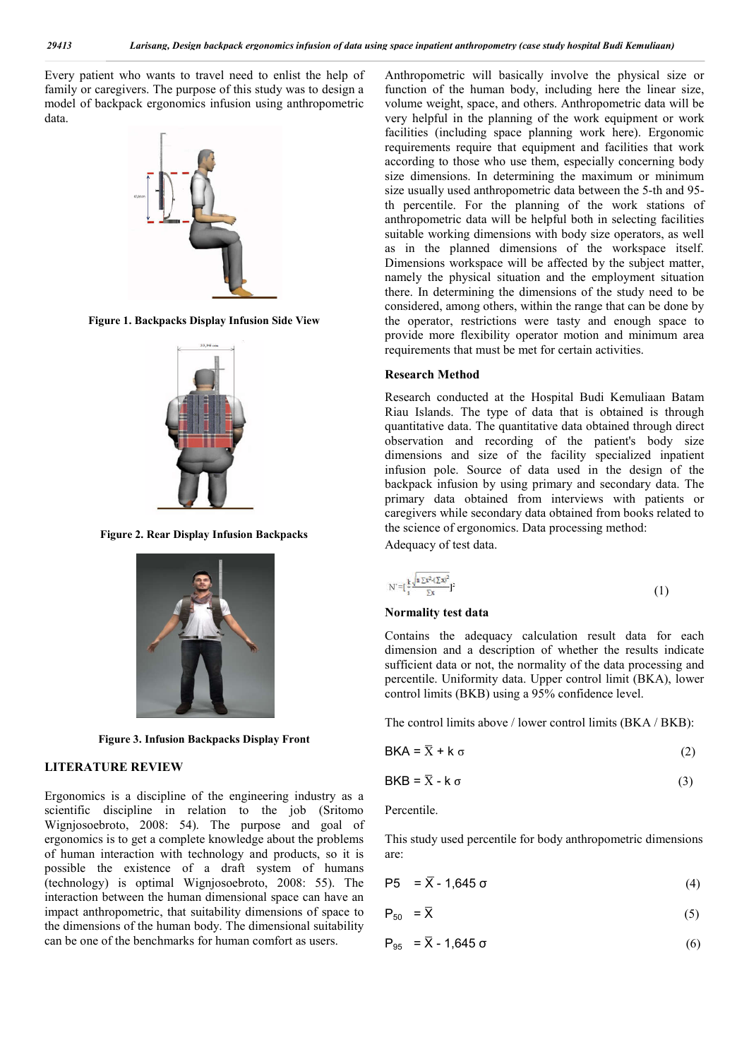Every patient who wants to travel need to enlist the help of family or caregivers. The purpose of this study was to design a model of backpack ergonomics infusion using anthropometric data.



**Figure 1. Backpacks Display Infusion Side View**



**Figure 2. Rear Display Infusion Backpacks**



**Figure 3. Infusion Backpacks Display Front**

## **LITERATURE REVIEW**

Ergonomics is a discipline of the engineering industry as a scientific discipline in relation to the job (Sritomo Wignjosoebroto, 2008: 54). The purpose and goal of ergonomics is to get a complete knowledge about the problems of human interaction with technology and products, so it is possible the existence of a draft system of humans (technology) is optimal Wignjosoebroto, 2008: 55). The interaction between the human dimensional space can have an impact anthropometric, that suitability dimensions of space to the dimensions of the human body. The dimensional suitability can be one of the benchmarks for human comfort as users.

Anthropometric will basically involve the physical size or function of the human body, including here the linear size, volume weight, space, and others. Anthropometric data will be very helpful in the planning of the work equipment or work facilities (including space planning work here). Ergonomic requirements require that equipment and facilities that work according to those who use them, especially concerning body size dimensions. In determining the maximum or minimum size usually used anthropometric data between the 5-th and 95 th percentile. For the planning of the work stations of anthropometric data will be helpful both in selecting facilities suitable working dimensions with body size operators, as well as in the planned dimensions of the workspace itself. Dimensions workspace will be affected by the subject matter, namely the physical situation and the employment situation there. In determining the dimensions of the study need to be considered, among others, within the range that can be done by the operator, restrictions were tasty and enough space to provide more flexibility operator motion and minimum area requirements that must be met for certain activities.

#### **Research Method**

Research conducted at the Hospital Budi Kemuliaan Batam Riau Islands. The type of data that is obtained is through quantitative data. The quantitative data obtained through direct observation and recording of the patient's body size dimensions and size of the facility specialized inpatient infusion pole. Source of data used in the design of the backpack infusion by using primary and secondary data. The primary data obtained from interviews with patients or caregivers while secondary data obtained from books related to the science of ergonomics. Data processing method: Adequacy of test data.

 $N' = \left[\frac{k}{n} \frac{\sqrt{n \sum x^2 - (\sum x)^2}}{\sum x} \right]^2$ 

## **Normality test data**

Contains the adequacy calculation result data for each dimension and a description of whether the results indicate sufficient data or not, the normality of the data processing and percentile. Uniformity data. Upper control limit (BKA), lower control limits (BKB) using a 95% confidence level.

(1)

The control limits above / lower control limits (BKA / BKB):

$$
BKA = \overline{X} + k \sigma \tag{2}
$$

$$
BKB = \overline{X} - k \sigma \tag{3}
$$

Percentile.

This study used percentile for body anthropometric dimensions are:

$$
P5 = \bar{X} - 1,645 \sigma
$$
 (4)

$$
P_{50} = \overline{X} \tag{5}
$$

$$
P_{95} = \overline{X} - 1,645 \sigma \tag{6}
$$